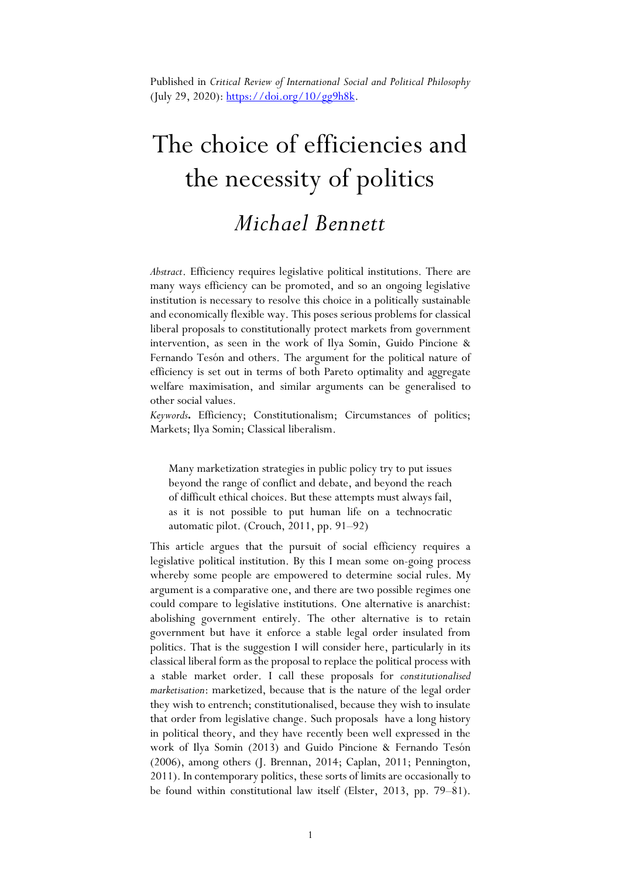Published in *Critical Review of International Social and Political Philosophy* (July 29, 2020): [https://doi.org/10/gg9h8k.](https://doi.org/10/gg9h8k)

# The choice of efficiencies and the necessity of politics *Michael Bennett*

*Abstract*. Efficiency requires legislative political institutions. There are many ways efficiency can be promoted, and so an ongoing legislative institution is necessary to resolve this choice in a politically sustainable and economically flexible way. This poses serious problems for classical liberal proposals to constitutionally protect markets from government intervention, as seen in the work of Ilya Somin, Guido Pincione & Fernando Tesón and others. The argument for the political nature of efficiency is set out in terms of both Pareto optimality and aggregate welfare maximisation, and similar arguments can be generalised to other social values.

*Keywords***.** Efficiency; Constitutionalism; Circumstances of politics; Markets; Ilya Somin; Classical liberalism.

Many marketization strategies in public policy try to put issues beyond the range of conflict and debate, and beyond the reach of difficult ethical choices. But these attempts must always fail, as it is not possible to put human life on a technocratic automatic pilot. (Crouch, 2011, pp. 91–92)

This article argues that the pursuit of social efficiency requires a legislative political institution. By this I mean some on-going process whereby some people are empowered to determine social rules. My argument is a comparative one, and there are two possible regimes one could compare to legislative institutions. One alternative is anarchist: abolishing government entirely. The other alternative is to retain government but have it enforce a stable legal order insulated from politics. That is the suggestion I will consider here, particularly in its classical liberal form as the proposal to replace the political process with a stable market order. I call these proposals for *constitutionalised marketisation*: marketized, because that is the nature of the legal order they wish to entrench; constitutionalised, because they wish to insulate that order from legislative change. Such proposals have a long history in political theory, and they have recently been well expressed in the work of Ilya Somin (2013) and Guido Pincione & Fernando Tesón (2006), among others (J. Brennan, 2014; Caplan, 2011; Pennington, 2011). In contemporary politics, these sorts of limits are occasionally to be found within constitutional law itself (Elster, 2013, pp. 79–81).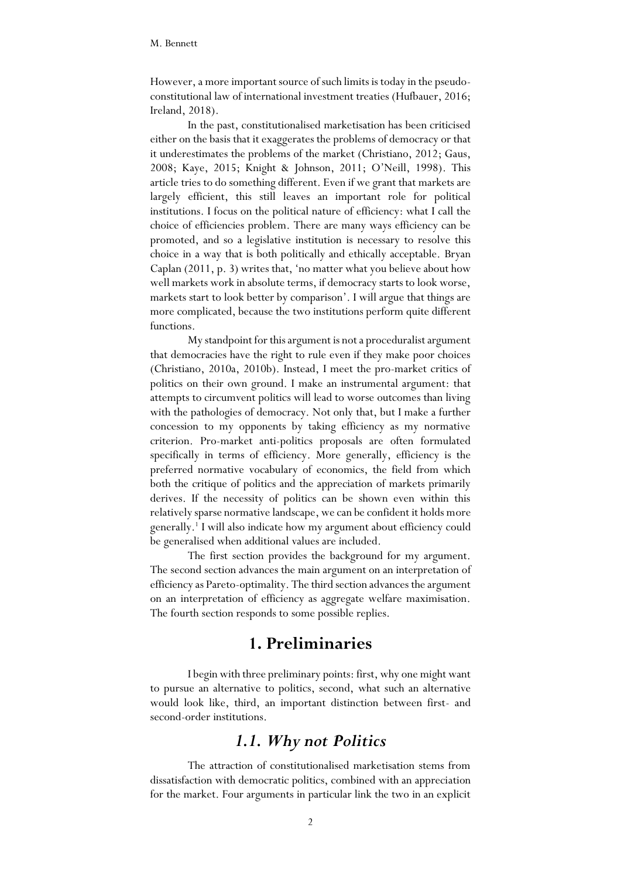However, a more important source of such limits is today in the pseudoconstitutional law of international investment treaties (Hufbauer, 2016; Ireland, 2018).

In the past, constitutionalised marketisation has been criticised either on the basis that it exaggerates the problems of democracy or that it underestimates the problems of the market (Christiano, 2012; Gaus, 2008; Kaye, 2015; Knight & Johnson, 2011; O'Neill, 1998). This article tries to do something different. Even if we grant that markets are largely efficient, this still leaves an important role for political institutions. I focus on the political nature of efficiency: what I call the choice of efficiencies problem. There are many ways efficiency can be promoted, and so a legislative institution is necessary to resolve this choice in a way that is both politically and ethically acceptable. Bryan Caplan (2011, p. 3) writes that, 'no matter what you believe about how well markets work in absolute terms, if democracy starts to look worse, markets start to look better by comparison'. I will argue that things are more complicated, because the two institutions perform quite different functions.

My standpoint for this argument is not a proceduralist argument that democracies have the right to rule even if they make poor choices (Christiano, 2010a, 2010b). Instead, I meet the pro-market critics of politics on their own ground. I make an instrumental argument: that attempts to circumvent politics will lead to worse outcomes than living with the pathologies of democracy. Not only that, but I make a further concession to my opponents by taking efficiency as my normative criterion. Pro-market anti-politics proposals are often formulated specifically in terms of efficiency. More generally, efficiency is the preferred normative vocabulary of economics, the field from which both the critique of politics and the appreciation of markets primarily derives. If the necessity of politics can be shown even within this relatively sparse normative landscape, we can be confident it holds more generally.<sup>1</sup> I will also indicate how my argument about efficiency could be generalised when additional values are included.

The first section provides the background for my argument. The second section advances the main argument on an interpretation of efficiency as Pareto-optimality. The third section advances the argument on an interpretation of efficiency as aggregate welfare maximisation. The fourth section responds to some possible replies.

### **1. Preliminaries**

I begin with three preliminary points: first, why one might want to pursue an alternative to politics, second, what such an alternative would look like, third, an important distinction between first- and second-order institutions.

#### *1.1. Why not Politics*

The attraction of constitutionalised marketisation stems from dissatisfaction with democratic politics, combined with an appreciation for the market. Four arguments in particular link the two in an explicit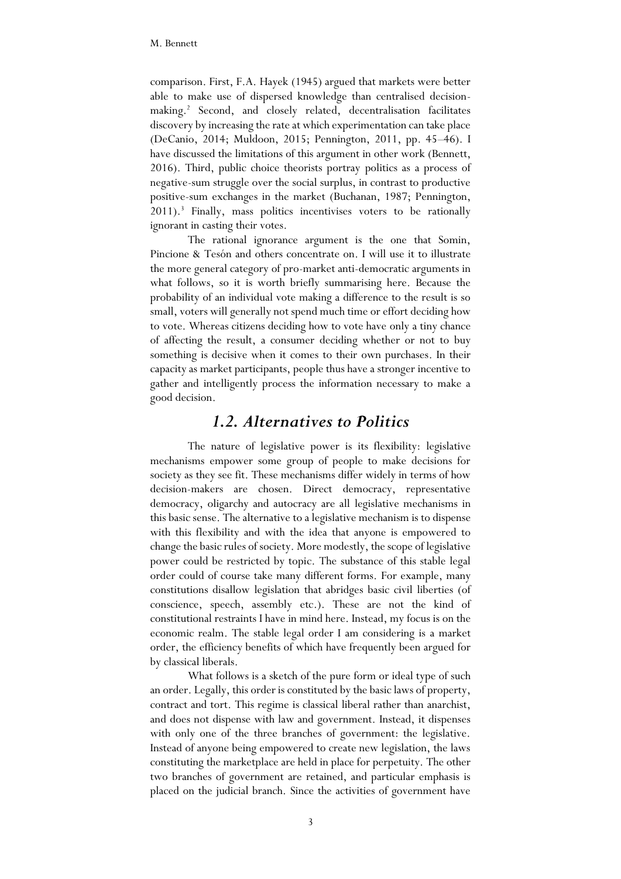comparison. First, F.A. Hayek (1945) argued that markets were better able to make use of dispersed knowledge than centralised decisionmaking.<sup>2</sup> Second, and closely related, decentralisation facilitates discovery by increasing the rate at which experimentation can take place (DeCanio, 2014; Muldoon, 2015; Pennington, 2011, pp. 45–46). I have discussed the limitations of this argument in other work (Bennett, 2016). Third, public choice theorists portray politics as a process of negative-sum struggle over the social surplus, in contrast to productive positive-sum exchanges in the market (Buchanan, 1987; Pennington, 2011). <sup>3</sup> Finally, mass politics incentivises voters to be rationally ignorant in casting their votes.

The rational ignorance argument is the one that Somin, Pincione & Tesón and others concentrate on. I will use it to illustrate the more general category of pro-market anti-democratic arguments in what follows, so it is worth briefly summarising here. Because the probability of an individual vote making a difference to the result is so small, voters will generally not spend much time or effort deciding how to vote. Whereas citizens deciding how to vote have only a tiny chance of affecting the result, a consumer deciding whether or not to buy something is decisive when it comes to their own purchases. In their capacity as market participants, people thus have a stronger incentive to gather and intelligently process the information necessary to make a good decision.

#### *1.2. Alternatives to Politics*

The nature of legislative power is its flexibility: legislative mechanisms empower some group of people to make decisions for society as they see fit. These mechanisms differ widely in terms of how decision-makers are chosen. Direct democracy, representative democracy, oligarchy and autocracy are all legislative mechanisms in this basic sense. The alternative to a legislative mechanism is to dispense with this flexibility and with the idea that anyone is empowered to change the basic rules of society. More modestly, the scope of legislative power could be restricted by topic. The substance of this stable legal order could of course take many different forms. For example, many constitutions disallow legislation that abridges basic civil liberties (of conscience, speech, assembly etc.). These are not the kind of constitutional restraints I have in mind here. Instead, my focus is on the economic realm. The stable legal order I am considering is a market order, the efficiency benefits of which have frequently been argued for by classical liberals.

What follows is a sketch of the pure form or ideal type of such an order. Legally, this order is constituted by the basic laws of property, contract and tort. This regime is classical liberal rather than anarchist, and does not dispense with law and government. Instead, it dispenses with only one of the three branches of government: the legislative. Instead of anyone being empowered to create new legislation, the laws constituting the marketplace are held in place for perpetuity. The other two branches of government are retained, and particular emphasis is placed on the judicial branch. Since the activities of government have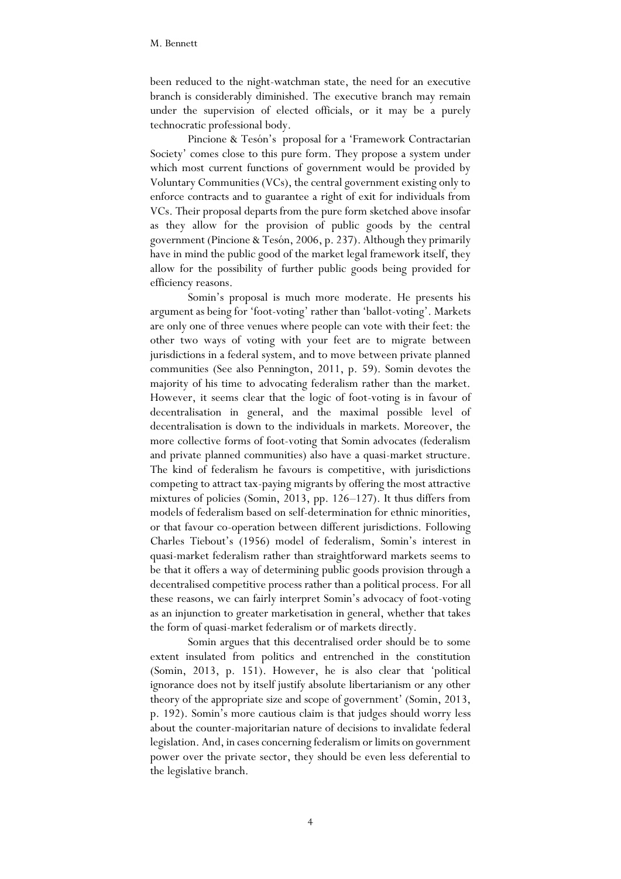been reduced to the night-watchman state, the need for an executive branch is considerably diminished. The executive branch may remain under the supervision of elected officials, or it may be a purely technocratic professional body.

Pincione & Tesón's proposal for a 'Framework Contractarian Society' comes close to this pure form. They propose a system under which most current functions of government would be provided by Voluntary Communities (VCs), the central government existing only to enforce contracts and to guarantee a right of exit for individuals from VCs. Their proposal departs from the pure form sketched above insofar as they allow for the provision of public goods by the central government (Pincione & Tesón, 2006, p. 237). Although they primarily have in mind the public good of the market legal framework itself, they allow for the possibility of further public goods being provided for efficiency reasons.

Somin's proposal is much more moderate. He presents his argument as being for 'foot-voting' rather than 'ballot-voting'. Markets are only one of three venues where people can vote with their feet: the other two ways of voting with your feet are to migrate between jurisdictions in a federal system, and to move between private planned communities (See also Pennington, 2011, p. 59). Somin devotes the majority of his time to advocating federalism rather than the market. However, it seems clear that the logic of foot-voting is in favour of decentralisation in general, and the maximal possible level of decentralisation is down to the individuals in markets. Moreover, the more collective forms of foot-voting that Somin advocates (federalism and private planned communities) also have a quasi-market structure. The kind of federalism he favours is competitive, with jurisdictions competing to attract tax-paying migrants by offering the most attractive mixtures of policies (Somin, 2013, pp. 126–127). It thus differs from models of federalism based on self-determination for ethnic minorities, or that favour co-operation between different jurisdictions. Following Charles Tiebout's (1956) model of federalism, Somin's interest in quasi-market federalism rather than straightforward markets seems to be that it offers a way of determining public goods provision through a decentralised competitive process rather than a political process. For all these reasons, we can fairly interpret Somin's advocacy of foot-voting as an injunction to greater marketisation in general, whether that takes the form of quasi-market federalism or of markets directly.

Somin argues that this decentralised order should be to some extent insulated from politics and entrenched in the constitution (Somin, 2013, p. 151). However, he is also clear that 'political ignorance does not by itself justify absolute libertarianism or any other theory of the appropriate size and scope of government' (Somin, 2013, p. 192). Somin's more cautious claim is that judges should worry less about the counter-majoritarian nature of decisions to invalidate federal legislation. And, in cases concerning federalism or limits on government power over the private sector, they should be even less deferential to the legislative branch.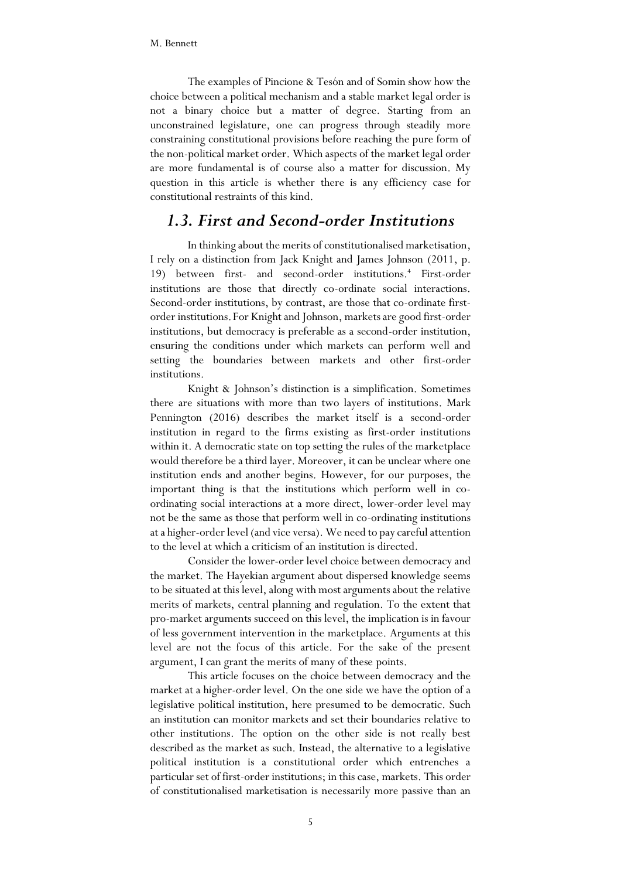The examples of Pincione & Tesón and of Somin show how the choice between a political mechanism and a stable market legal order is not a binary choice but a matter of degree. Starting from an unconstrained legislature, one can progress through steadily more constraining constitutional provisions before reaching the pure form of the non-political market order. Which aspects of the market legal order are more fundamental is of course also a matter for discussion. My question in this article is whether there is any efficiency case for constitutional restraints of this kind.

#### *1.3. First and Second-order Institutions*

In thinking about the merits of constitutionalised marketisation, I rely on a distinction from Jack Knight and James Johnson (2011, p. 19) between first- and second-order institutions. <sup>4</sup> First-order institutions are those that directly co-ordinate social interactions. Second-order institutions, by contrast, are those that co-ordinate firstorder institutions.For Knight and Johnson, markets are good first-order institutions, but democracy is preferable as a second-order institution, ensuring the conditions under which markets can perform well and setting the boundaries between markets and other first-order institutions.

Knight & Johnson's distinction is a simplification. Sometimes there are situations with more than two layers of institutions. Mark Pennington (2016) describes the market itself is a second-order institution in regard to the firms existing as first-order institutions within it. A democratic state on top setting the rules of the marketplace would therefore be a third layer. Moreover, it can be unclear where one institution ends and another begins. However, for our purposes, the important thing is that the institutions which perform well in coordinating social interactions at a more direct, lower-order level may not be the same as those that perform well in co-ordinating institutions at a higher-order level (and vice versa). We need to pay careful attention to the level at which a criticism of an institution is directed.

Consider the lower-order level choice between democracy and the market. The Hayekian argument about dispersed knowledge seems to be situated at this level, along with most arguments about the relative merits of markets, central planning and regulation. To the extent that pro-market arguments succeed on this level, the implication is in favour of less government intervention in the marketplace. Arguments at this level are not the focus of this article. For the sake of the present argument, I can grant the merits of many of these points.

This article focuses on the choice between democracy and the market at a higher-order level. On the one side we have the option of a legislative political institution, here presumed to be democratic. Such an institution can monitor markets and set their boundaries relative to other institutions. The option on the other side is not really best described as the market as such. Instead, the alternative to a legislative political institution is a constitutional order which entrenches a particular set of first-order institutions; in this case, markets. This order of constitutionalised marketisation is necessarily more passive than an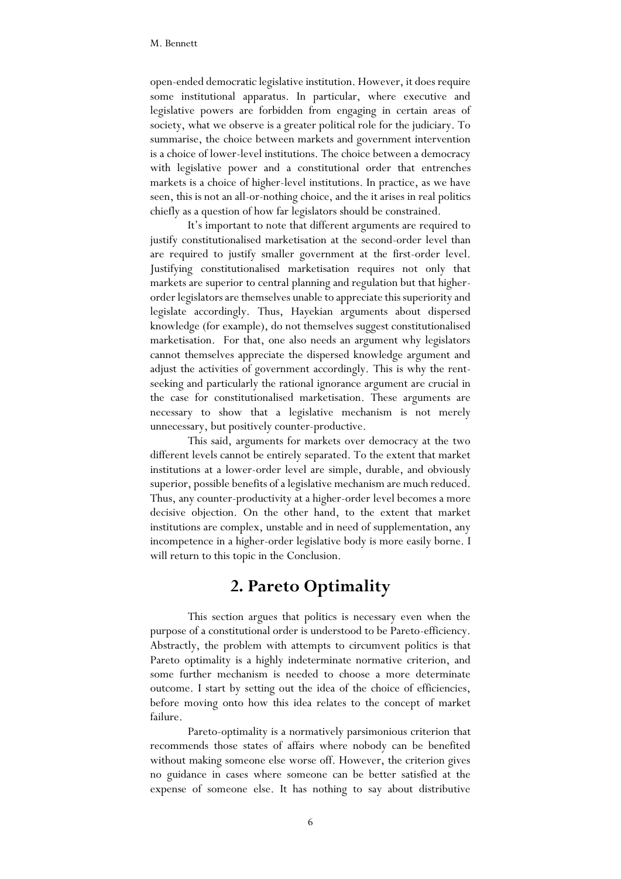open-ended democratic legislative institution. However, it does require some institutional apparatus. In particular, where executive and legislative powers are forbidden from engaging in certain areas of society, what we observe is a greater political role for the judiciary. To summarise, the choice between markets and government intervention is a choice of lower-level institutions. The choice between a democracy with legislative power and a constitutional order that entrenches markets is a choice of higher-level institutions. In practice, as we have seen, this is not an all-or-nothing choice, and the it arises in real politics chiefly as a question of how far legislators should be constrained.

It's important to note that different arguments are required to justify constitutionalised marketisation at the second-order level than are required to justify smaller government at the first-order level. Justifying constitutionalised marketisation requires not only that markets are superior to central planning and regulation but that higherorder legislators are themselves unable to appreciate this superiority and legislate accordingly. Thus, Hayekian arguments about dispersed knowledge (for example), do not themselves suggest constitutionalised marketisation. For that, one also needs an argument why legislators cannot themselves appreciate the dispersed knowledge argument and adjust the activities of government accordingly. This is why the rentseeking and particularly the rational ignorance argument are crucial in the case for constitutionalised marketisation. These arguments are necessary to show that a legislative mechanism is not merely unnecessary, but positively counter-productive.

This said, arguments for markets over democracy at the two different levels cannot be entirely separated. To the extent that market institutions at a lower-order level are simple, durable, and obviously superior, possible benefits of a legislative mechanism are much reduced. Thus, any counter-productivity at a higher-order level becomes a more decisive objection. On the other hand, to the extent that market institutions are complex, unstable and in need of supplementation, any incompetence in a higher-order legislative body is more easily borne. I will return to this topic in the Conclusion.

# **2. Pareto Optimality**

This section argues that politics is necessary even when the purpose of a constitutional order is understood to be Pareto-efficiency. Abstractly, the problem with attempts to circumvent politics is that Pareto optimality is a highly indeterminate normative criterion, and some further mechanism is needed to choose a more determinate outcome. I start by setting out the idea of the choice of efficiencies, before moving onto how this idea relates to the concept of market failure.

Pareto-optimality is a normatively parsimonious criterion that recommends those states of affairs where nobody can be benefited without making someone else worse off. However, the criterion gives no guidance in cases where someone can be better satisfied at the expense of someone else. It has nothing to say about distributive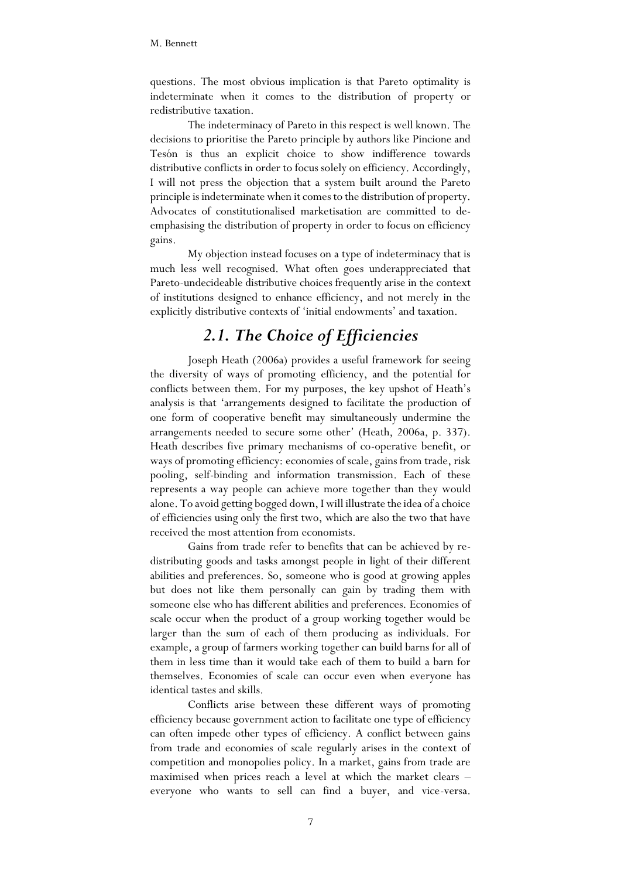questions. The most obvious implication is that Pareto optimality is indeterminate when it comes to the distribution of property or redistributive taxation.

The indeterminacy of Pareto in this respect is well known. The decisions to prioritise the Pareto principle by authors like Pincione and Tesón is thus an explicit choice to show indifference towards distributive conflicts in order to focus solely on efficiency. Accordingly, I will not press the objection that a system built around the Pareto principle is indeterminate when it comes to the distribution of property. Advocates of constitutionalised marketisation are committed to deemphasising the distribution of property in order to focus on efficiency gains.

My objection instead focuses on a type of indeterminacy that is much less well recognised. What often goes underappreciated that Pareto-undecideable distributive choices frequently arise in the context of institutions designed to enhance efficiency, and not merely in the explicitly distributive contexts of 'initial endowments' and taxation.

# *2.1. The Choice of Efficiencies*

Joseph Heath (2006a) provides a useful framework for seeing the diversity of ways of promoting efficiency, and the potential for conflicts between them. For my purposes, the key upshot of Heath's analysis is that 'arrangements designed to facilitate the production of one form of cooperative benefit may simultaneously undermine the arrangements needed to secure some other' (Heath, 2006a, p. 337). Heath describes five primary mechanisms of co-operative benefit, or ways of promoting efficiency: economies of scale, gains from trade, risk pooling, self-binding and information transmission. Each of these represents a way people can achieve more together than they would alone. To avoid getting bogged down, I will illustrate the idea of a choice of efficiencies using only the first two, which are also the two that have received the most attention from economists.

Gains from trade refer to benefits that can be achieved by redistributing goods and tasks amongst people in light of their different abilities and preferences. So, someone who is good at growing apples but does not like them personally can gain by trading them with someone else who has different abilities and preferences. Economies of scale occur when the product of a group working together would be larger than the sum of each of them producing as individuals. For example, a group of farmers working together can build barns for all of them in less time than it would take each of them to build a barn for themselves. Economies of scale can occur even when everyone has identical tastes and skills.

Conflicts arise between these different ways of promoting efficiency because government action to facilitate one type of efficiency can often impede other types of efficiency. A conflict between gains from trade and economies of scale regularly arises in the context of competition and monopolies policy. In a market, gains from trade are maximised when prices reach a level at which the market clears – everyone who wants to sell can find a buyer, and vice-versa.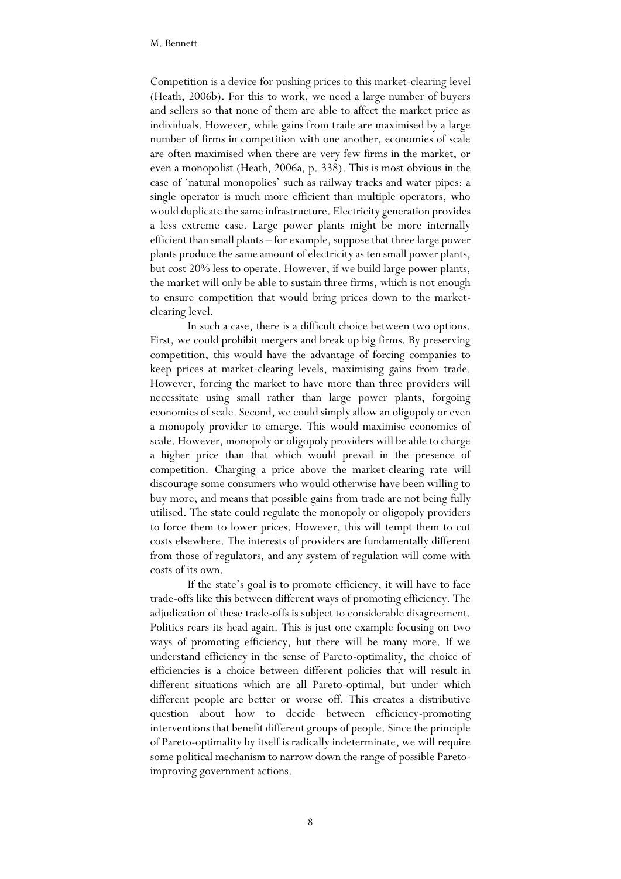Competition is a device for pushing prices to this market-clearing level (Heath, 2006b). For this to work, we need a large number of buyers and sellers so that none of them are able to affect the market price as individuals. However, while gains from trade are maximised by a large number of firms in competition with one another, economies of scale are often maximised when there are very few firms in the market, or even a monopolist (Heath, 2006a, p. 338). This is most obvious in the case of 'natural monopolies' such as railway tracks and water pipes: a single operator is much more efficient than multiple operators, who would duplicate the same infrastructure. Electricity generation provides a less extreme case. Large power plants might be more internally efficient than small plants – for example, suppose that three large power plants produce the same amount of electricity as ten small power plants, but cost 20% less to operate. However, if we build large power plants, the market will only be able to sustain three firms, which is not enough to ensure competition that would bring prices down to the marketclearing level.

In such a case, there is a difficult choice between two options. First, we could prohibit mergers and break up big firms. By preserving competition, this would have the advantage of forcing companies to keep prices at market-clearing levels, maximising gains from trade. However, forcing the market to have more than three providers will necessitate using small rather than large power plants, forgoing economies of scale. Second, we could simply allow an oligopoly or even a monopoly provider to emerge. This would maximise economies of scale. However, monopoly or oligopoly providers will be able to charge a higher price than that which would prevail in the presence of competition. Charging a price above the market-clearing rate will discourage some consumers who would otherwise have been willing to buy more, and means that possible gains from trade are not being fully utilised. The state could regulate the monopoly or oligopoly providers to force them to lower prices. However, this will tempt them to cut costs elsewhere. The interests of providers are fundamentally different from those of regulators, and any system of regulation will come with costs of its own.

If the state's goal is to promote efficiency, it will have to face trade-offs like this between different ways of promoting efficiency. The adjudication of these trade-offs is subject to considerable disagreement. Politics rears its head again. This is just one example focusing on two ways of promoting efficiency, but there will be many more. If we understand efficiency in the sense of Pareto-optimality, the choice of efficiencies is a choice between different policies that will result in different situations which are all Pareto-optimal, but under which different people are better or worse off. This creates a distributive question about how to decide between efficiency-promoting interventions that benefit different groups of people. Since the principle of Pareto-optimality by itself is radically indeterminate, we will require some political mechanism to narrow down the range of possible Paretoimproving government actions.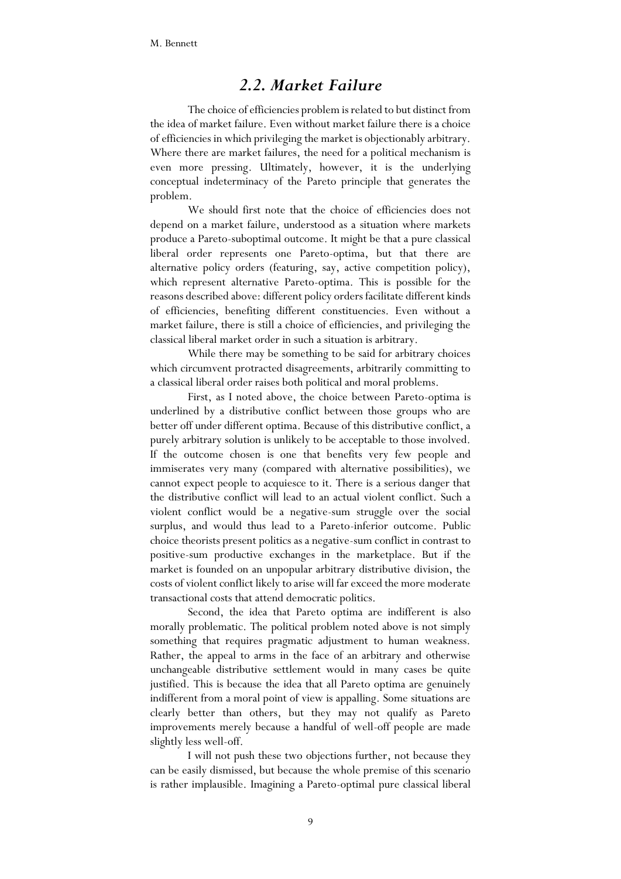#### *2.2. Market Failure*

The choice of efficiencies problem is related to but distinct from the idea of market failure. Even without market failure there is a choice of efficiencies in which privileging the market is objectionably arbitrary. Where there are market failures, the need for a political mechanism is even more pressing. Ultimately, however, it is the underlying conceptual indeterminacy of the Pareto principle that generates the problem.

We should first note that the choice of efficiencies does not depend on a market failure, understood as a situation where markets produce a Pareto-suboptimal outcome. It might be that a pure classical liberal order represents one Pareto-optima, but that there are alternative policy orders (featuring, say, active competition policy), which represent alternative Pareto-optima. This is possible for the reasons described above: different policy orders facilitate different kinds of efficiencies, benefiting different constituencies. Even without a market failure, there is still a choice of efficiencies, and privileging the classical liberal market order in such a situation is arbitrary.

While there may be something to be said for arbitrary choices which circumvent protracted disagreements, arbitrarily committing to a classical liberal order raises both political and moral problems.

First, as I noted above, the choice between Pareto-optima is underlined by a distributive conflict between those groups who are better off under different optima. Because of this distributive conflict, a purely arbitrary solution is unlikely to be acceptable to those involved. If the outcome chosen is one that benefits very few people and immiserates very many (compared with alternative possibilities), we cannot expect people to acquiesce to it. There is a serious danger that the distributive conflict will lead to an actual violent conflict. Such a violent conflict would be a negative-sum struggle over the social surplus, and would thus lead to a Pareto-inferior outcome. Public choice theorists present politics as a negative-sum conflict in contrast to positive-sum productive exchanges in the marketplace. But if the market is founded on an unpopular arbitrary distributive division, the costs of violent conflict likely to arise will far exceed the more moderate transactional costs that attend democratic politics.

Second, the idea that Pareto optima are indifferent is also morally problematic. The political problem noted above is not simply something that requires pragmatic adjustment to human weakness. Rather, the appeal to arms in the face of an arbitrary and otherwise unchangeable distributive settlement would in many cases be quite justified. This is because the idea that all Pareto optima are genuinely indifferent from a moral point of view is appalling. Some situations are clearly better than others, but they may not qualify as Pareto improvements merely because a handful of well-off people are made slightly less well-off.

I will not push these two objections further, not because they can be easily dismissed, but because the whole premise of this scenario is rather implausible. Imagining a Pareto-optimal pure classical liberal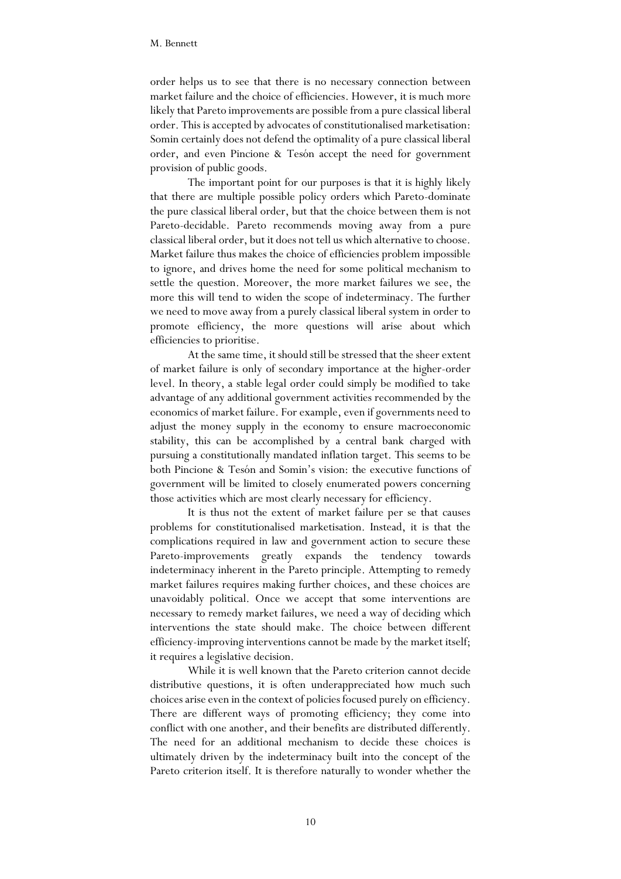#### M. Bennett

order helps us to see that there is no necessary connection between market failure and the choice of efficiencies. However, it is much more likely that Pareto improvements are possible from a pure classical liberal order. This is accepted by advocates of constitutionalised marketisation: Somin certainly does not defend the optimality of a pure classical liberal order, and even Pincione & Tesón accept the need for government provision of public goods.

The important point for our purposes is that it is highly likely that there are multiple possible policy orders which Pareto-dominate the pure classical liberal order, but that the choice between them is not Pareto-decidable. Pareto recommends moving away from a pure classical liberal order, but it does not tell us which alternative to choose. Market failure thus makes the choice of efficiencies problem impossible to ignore, and drives home the need for some political mechanism to settle the question. Moreover, the more market failures we see, the more this will tend to widen the scope of indeterminacy. The further we need to move away from a purely classical liberal system in order to promote efficiency, the more questions will arise about which efficiencies to prioritise.

At the same time, it should still be stressed that the sheer extent of market failure is only of secondary importance at the higher-order level. In theory, a stable legal order could simply be modified to take advantage of any additional government activities recommended by the economics of market failure. For example, even if governments need to adjust the money supply in the economy to ensure macroeconomic stability, this can be accomplished by a central bank charged with pursuing a constitutionally mandated inflation target. This seems to be both Pincione & Tesón and Somin's vision: the executive functions of government will be limited to closely enumerated powers concerning those activities which are most clearly necessary for efficiency.

It is thus not the extent of market failure per se that causes problems for constitutionalised marketisation. Instead, it is that the complications required in law and government action to secure these Pareto-improvements greatly expands the tendency towards indeterminacy inherent in the Pareto principle. Attempting to remedy market failures requires making further choices, and these choices are unavoidably political. Once we accept that some interventions are necessary to remedy market failures, we need a way of deciding which interventions the state should make. The choice between different efficiency-improving interventions cannot be made by the market itself; it requires a legislative decision.

While it is well known that the Pareto criterion cannot decide distributive questions, it is often underappreciated how much such choices arise even in the context of policies focused purely on efficiency. There are different ways of promoting efficiency; they come into conflict with one another, and their benefits are distributed differently. The need for an additional mechanism to decide these choices is ultimately driven by the indeterminacy built into the concept of the Pareto criterion itself. It is therefore naturally to wonder whether the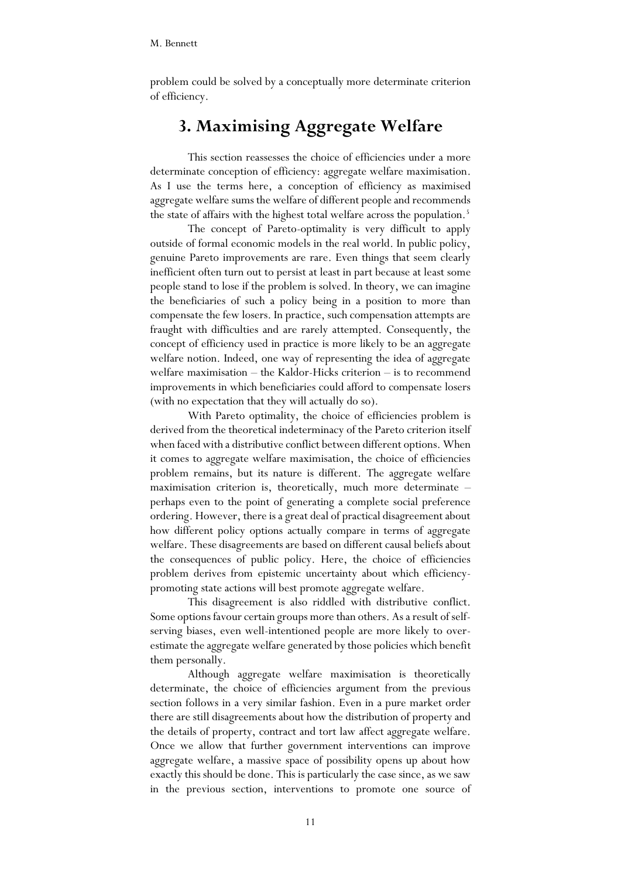problem could be solved by a conceptually more determinate criterion of efficiency.

# **3. Maximising Aggregate Welfare**

This section reassesses the choice of efficiencies under a more determinate conception of efficiency: aggregate welfare maximisation. As I use the terms here, a conception of efficiency as maximised aggregate welfare sums the welfare of different people and recommends the state of affairs with the highest total welfare across the population.<sup>5</sup>

The concept of Pareto-optimality is very difficult to apply outside of formal economic models in the real world. In public policy, genuine Pareto improvements are rare. Even things that seem clearly inefficient often turn out to persist at least in part because at least some people stand to lose if the problem is solved. In theory, we can imagine the beneficiaries of such a policy being in a position to more than compensate the few losers. In practice, such compensation attempts are fraught with difficulties and are rarely attempted. Consequently, the concept of efficiency used in practice is more likely to be an aggregate welfare notion. Indeed, one way of representing the idea of aggregate welfare maximisation – the Kaldor-Hicks criterion – is to recommend improvements in which beneficiaries could afford to compensate losers (with no expectation that they will actually do so).

With Pareto optimality, the choice of efficiencies problem is derived from the theoretical indeterminacy of the Pareto criterion itself when faced with a distributive conflict between different options. When it comes to aggregate welfare maximisation, the choice of efficiencies problem remains, but its nature is different. The aggregate welfare maximisation criterion is, theoretically, much more determinate – perhaps even to the point of generating a complete social preference ordering. However, there is a great deal of practical disagreement about how different policy options actually compare in terms of aggregate welfare. These disagreements are based on different causal beliefs about the consequences of public policy. Here, the choice of efficiencies problem derives from epistemic uncertainty about which efficiencypromoting state actions will best promote aggregate welfare.

This disagreement is also riddled with distributive conflict. Some options favour certain groups more than others. As a result of selfserving biases, even well-intentioned people are more likely to overestimate the aggregate welfare generated by those policies which benefit them personally.

Although aggregate welfare maximisation is theoretically determinate, the choice of efficiencies argument from the previous section follows in a very similar fashion. Even in a pure market order there are still disagreements about how the distribution of property and the details of property, contract and tort law affect aggregate welfare. Once we allow that further government interventions can improve aggregate welfare, a massive space of possibility opens up about how exactly this should be done. This is particularly the case since, as we saw in the previous section, interventions to promote one source of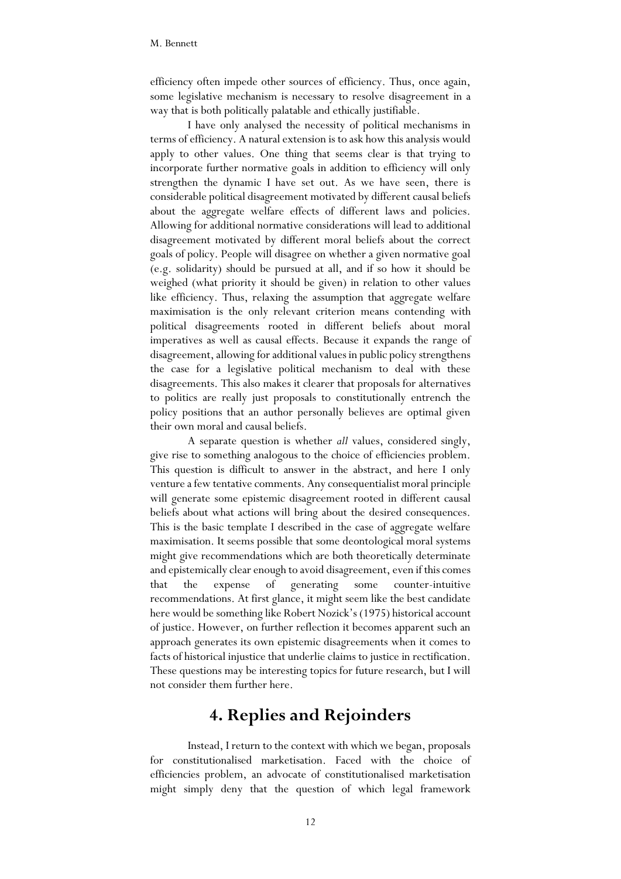efficiency often impede other sources of efficiency. Thus, once again, some legislative mechanism is necessary to resolve disagreement in a way that is both politically palatable and ethically justifiable.

I have only analysed the necessity of political mechanisms in terms of efficiency. A natural extension is to ask how this analysis would apply to other values. One thing that seems clear is that trying to incorporate further normative goals in addition to efficiency will only strengthen the dynamic I have set out. As we have seen, there is considerable political disagreement motivated by different causal beliefs about the aggregate welfare effects of different laws and policies. Allowing for additional normative considerations will lead to additional disagreement motivated by different moral beliefs about the correct goals of policy. People will disagree on whether a given normative goal (e.g. solidarity) should be pursued at all, and if so how it should be weighed (what priority it should be given) in relation to other values like efficiency. Thus, relaxing the assumption that aggregate welfare maximisation is the only relevant criterion means contending with political disagreements rooted in different beliefs about moral imperatives as well as causal effects. Because it expands the range of disagreement, allowing for additional values in public policy strengthens the case for a legislative political mechanism to deal with these disagreements. This also makes it clearer that proposals for alternatives to politics are really just proposals to constitutionally entrench the policy positions that an author personally believes are optimal given their own moral and causal beliefs.

A separate question is whether *all* values, considered singly, give rise to something analogous to the choice of efficiencies problem. This question is difficult to answer in the abstract, and here I only venture a few tentative comments. Any consequentialist moral principle will generate some epistemic disagreement rooted in different causal beliefs about what actions will bring about the desired consequences. This is the basic template I described in the case of aggregate welfare maximisation. It seems possible that some deontological moral systems might give recommendations which are both theoretically determinate and epistemically clear enough to avoid disagreement, even if this comes that the expense of generating some counter-intuitive recommendations. At first glance, it might seem like the best candidate here would be something like Robert Nozick's (1975) historical account of justice. However, on further reflection it becomes apparent such an approach generates its own epistemic disagreements when it comes to facts of historical injustice that underlie claims to justice in rectification. These questions may be interesting topics for future research, but I will not consider them further here.

# **4. Replies and Rejoinders**

Instead, I return to the context with which we began, proposals for constitutionalised marketisation. Faced with the choice of efficiencies problem, an advocate of constitutionalised marketisation might simply deny that the question of which legal framework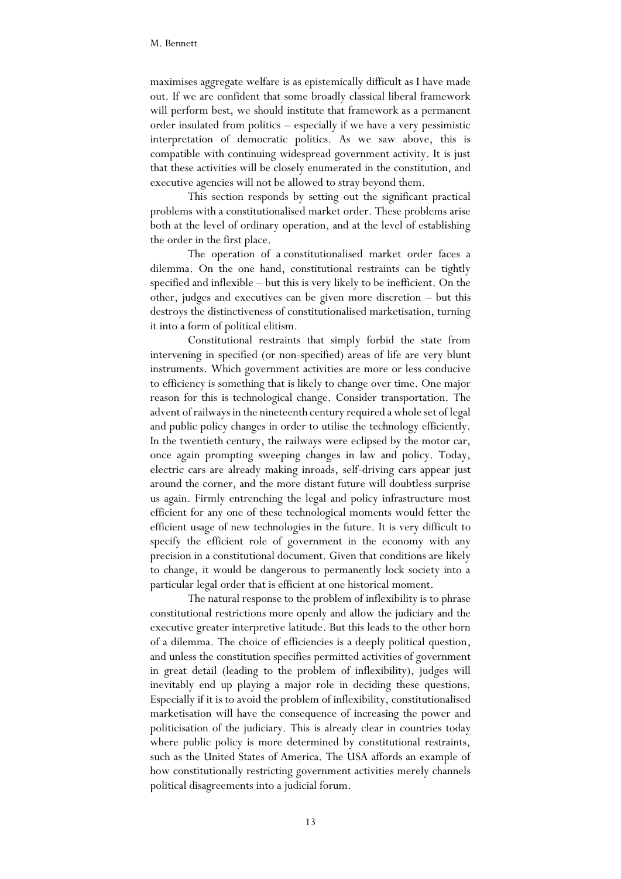maximises aggregate welfare is as epistemically difficult as I have made out. If we are confident that some broadly classical liberal framework will perform best, we should institute that framework as a permanent order insulated from politics – especially if we have a very pessimistic interpretation of democratic politics. As we saw above, this is compatible with continuing widespread government activity. It is just that these activities will be closely enumerated in the constitution, and executive agencies will not be allowed to stray beyond them.

This section responds by setting out the significant practical problems with a constitutionalised market order. These problems arise both at the level of ordinary operation, and at the level of establishing the order in the first place.

The operation of a constitutionalised market order faces a dilemma. On the one hand, constitutional restraints can be tightly specified and inflexible – but this is very likely to be inefficient. On the other, judges and executives can be given more discretion – but this destroys the distinctiveness of constitutionalised marketisation, turning it into a form of political elitism.

Constitutional restraints that simply forbid the state from intervening in specified (or non-specified) areas of life are very blunt instruments. Which government activities are more or less conducive to efficiency is something that is likely to change over time. One major reason for this is technological change. Consider transportation. The advent of railways in the nineteenth century required a whole set of legal and public policy changes in order to utilise the technology efficiently. In the twentieth century, the railways were eclipsed by the motor car, once again prompting sweeping changes in law and policy. Today, electric cars are already making inroads, self-driving cars appear just around the corner, and the more distant future will doubtless surprise us again. Firmly entrenching the legal and policy infrastructure most efficient for any one of these technological moments would fetter the efficient usage of new technologies in the future. It is very difficult to specify the efficient role of government in the economy with any precision in a constitutional document. Given that conditions are likely to change, it would be dangerous to permanently lock society into a particular legal order that is efficient at one historical moment.

The natural response to the problem of inflexibility is to phrase constitutional restrictions more openly and allow the judiciary and the executive greater interpretive latitude. But this leads to the other horn of a dilemma. The choice of efficiencies is a deeply political question, and unless the constitution specifies permitted activities of government in great detail (leading to the problem of inflexibility), judges will inevitably end up playing a major role in deciding these questions. Especially if it is to avoid the problem of inflexibility, constitutionalised marketisation will have the consequence of increasing the power and politicisation of the judiciary. This is already clear in countries today where public policy is more determined by constitutional restraints, such as the United States of America. The USA affords an example of how constitutionally restricting government activities merely channels political disagreements into a judicial forum.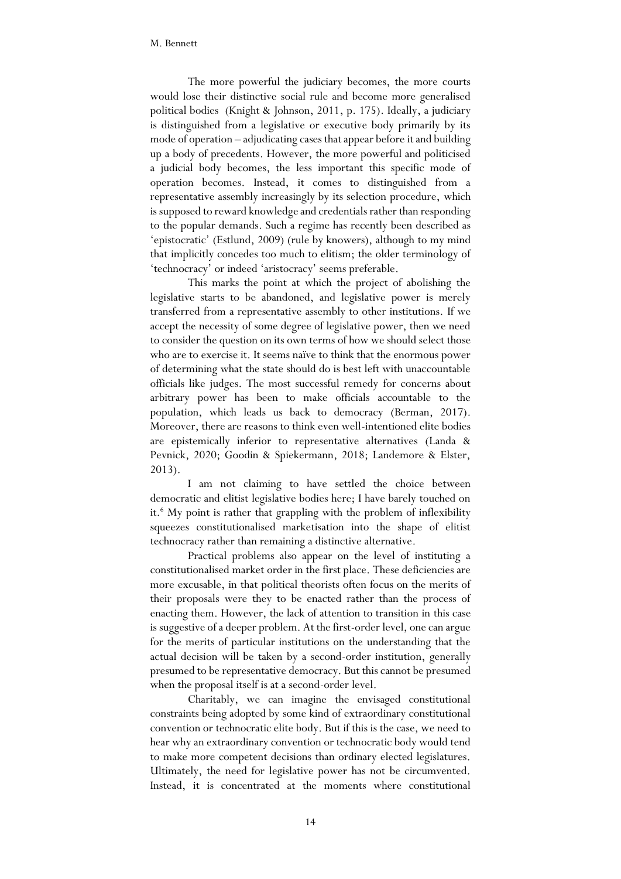The more powerful the judiciary becomes, the more courts would lose their distinctive social rule and become more generalised political bodies (Knight & Johnson, 2011, p. 175). Ideally, a judiciary is distinguished from a legislative or executive body primarily by its mode of operation – adjudicating cases that appear before it and building up a body of precedents. However, the more powerful and politicised a judicial body becomes, the less important this specific mode of operation becomes. Instead, it comes to distinguished from a representative assembly increasingly by its selection procedure, which is supposed to reward knowledge and credentials rather than responding to the popular demands. Such a regime has recently been described as 'epistocratic' (Estlund, 2009) (rule by knowers), although to my mind that implicitly concedes too much to elitism; the older terminology of 'technocracy' or indeed 'aristocracy' seems preferable.

This marks the point at which the project of abolishing the legislative starts to be abandoned, and legislative power is merely transferred from a representative assembly to other institutions. If we accept the necessity of some degree of legislative power, then we need to consider the question on its own terms of how we should select those who are to exercise it. It seems naïve to think that the enormous power of determining what the state should do is best left with unaccountable officials like judges. The most successful remedy for concerns about arbitrary power has been to make officials accountable to the population, which leads us back to democracy (Berman, 2017). Moreover, there are reasons to think even well-intentioned elite bodies are epistemically inferior to representative alternatives (Landa & Pevnick, 2020; Goodin & Spiekermann, 2018; Landemore & Elster, 2013).

I am not claiming to have settled the choice between democratic and elitist legislative bodies here; I have barely touched on it.<sup>6</sup> My point is rather that grappling with the problem of inflexibility squeezes constitutionalised marketisation into the shape of elitist technocracy rather than remaining a distinctive alternative.

Practical problems also appear on the level of instituting a constitutionalised market order in the first place. These deficiencies are more excusable, in that political theorists often focus on the merits of their proposals were they to be enacted rather than the process of enacting them. However, the lack of attention to transition in this case is suggestive of a deeper problem. At the first-order level, one can argue for the merits of particular institutions on the understanding that the actual decision will be taken by a second-order institution, generally presumed to be representative democracy. But this cannot be presumed when the proposal itself is at a second-order level.

Charitably, we can imagine the envisaged constitutional constraints being adopted by some kind of extraordinary constitutional convention or technocratic elite body. But if this is the case, we need to hear why an extraordinary convention or technocratic body would tend to make more competent decisions than ordinary elected legislatures. Ultimately, the need for legislative power has not be circumvented. Instead, it is concentrated at the moments where constitutional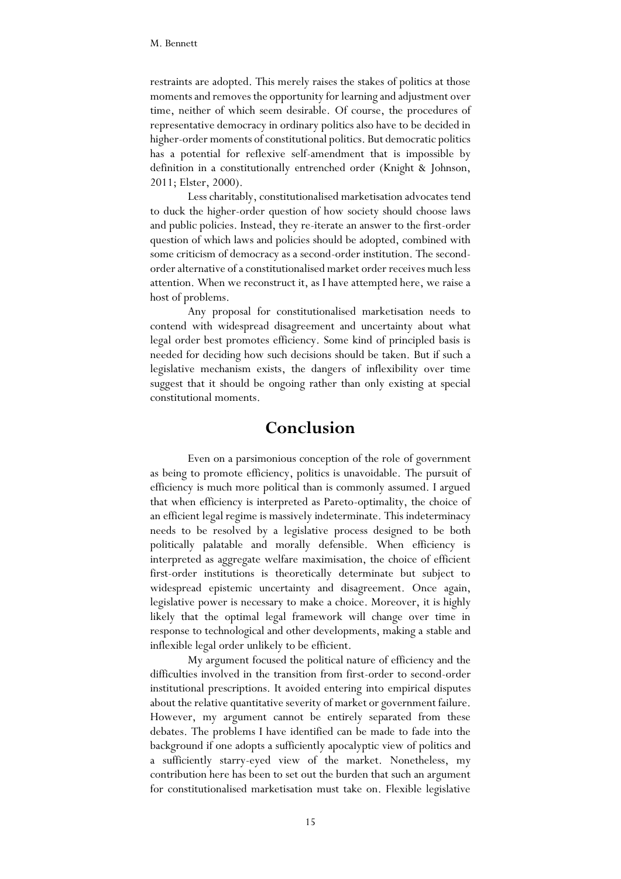restraints are adopted. This merely raises the stakes of politics at those moments and removes the opportunity for learning and adjustment over time, neither of which seem desirable. Of course, the procedures of representative democracy in ordinary politics also have to be decided in higher-order moments of constitutional politics. But democratic politics has a potential for reflexive self-amendment that is impossible by definition in a constitutionally entrenched order (Knight & Johnson, 2011; Elster, 2000).

Less charitably, constitutionalised marketisation advocates tend to duck the higher-order question of how society should choose laws and public policies. Instead, they re-iterate an answer to the first-order question of which laws and policies should be adopted, combined with some criticism of democracy as a second-order institution. The secondorder alternative of a constitutionalised market order receives much less attention. When we reconstruct it, as I have attempted here, we raise a host of problems.

Any proposal for constitutionalised marketisation needs to contend with widespread disagreement and uncertainty about what legal order best promotes efficiency. Some kind of principled basis is needed for deciding how such decisions should be taken. But if such a legislative mechanism exists, the dangers of inflexibility over time suggest that it should be ongoing rather than only existing at special constitutional moments.

#### **Conclusion**

Even on a parsimonious conception of the role of government as being to promote efficiency, politics is unavoidable. The pursuit of efficiency is much more political than is commonly assumed. I argued that when efficiency is interpreted as Pareto-optimality, the choice of an efficient legal regime is massively indeterminate. This indeterminacy needs to be resolved by a legislative process designed to be both politically palatable and morally defensible. When efficiency is interpreted as aggregate welfare maximisation, the choice of efficient first-order institutions is theoretically determinate but subject to widespread epistemic uncertainty and disagreement. Once again, legislative power is necessary to make a choice. Moreover, it is highly likely that the optimal legal framework will change over time in response to technological and other developments, making a stable and inflexible legal order unlikely to be efficient.

My argument focused the political nature of efficiency and the difficulties involved in the transition from first-order to second-order institutional prescriptions. It avoided entering into empirical disputes about the relative quantitative severity of market or government failure. However, my argument cannot be entirely separated from these debates. The problems I have identified can be made to fade into the background if one adopts a sufficiently apocalyptic view of politics and a sufficiently starry-eyed view of the market. Nonetheless, my contribution here has been to set out the burden that such an argument for constitutionalised marketisation must take on. Flexible legislative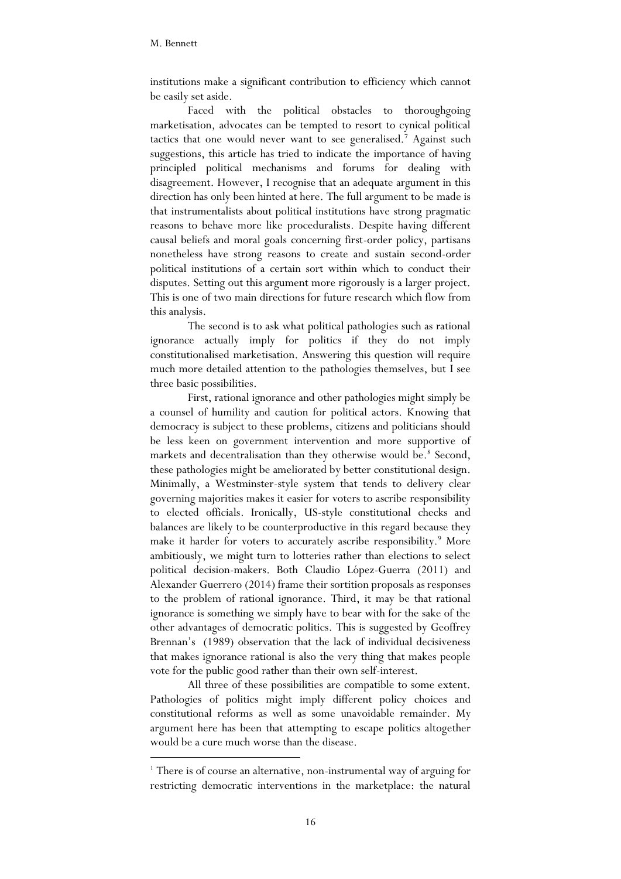institutions make a significant contribution to efficiency which cannot be easily set aside.

Faced with the political obstacles to thoroughgoing marketisation, advocates can be tempted to resort to cynical political tactics that one would never want to see generalised.<sup>7</sup> Against such suggestions, this article has tried to indicate the importance of having principled political mechanisms and forums for dealing with disagreement. However, I recognise that an adequate argument in this direction has only been hinted at here. The full argument to be made is that instrumentalists about political institutions have strong pragmatic reasons to behave more like proceduralists. Despite having different causal beliefs and moral goals concerning first-order policy, partisans nonetheless have strong reasons to create and sustain second-order political institutions of a certain sort within which to conduct their disputes. Setting out this argument more rigorously is a larger project. This is one of two main directions for future research which flow from this analysis.

The second is to ask what political pathologies such as rational ignorance actually imply for politics if they do not imply constitutionalised marketisation. Answering this question will require much more detailed attention to the pathologies themselves, but I see three basic possibilities.

First, rational ignorance and other pathologies might simply be a counsel of humility and caution for political actors. Knowing that democracy is subject to these problems, citizens and politicians should be less keen on government intervention and more supportive of markets and decentralisation than they otherwise would be.<sup>8</sup> Second, these pathologies might be ameliorated by better constitutional design. Minimally, a Westminster-style system that tends to delivery clear governing majorities makes it easier for voters to ascribe responsibility to elected officials. Ironically, US-style constitutional checks and balances are likely to be counterproductive in this regard because they make it harder for voters to accurately ascribe responsibility.<sup>9</sup> More ambitiously, we might turn to lotteries rather than elections to select political decision-makers. Both Claudio López-Guerra (2011) and Alexander Guerrero (2014) frame their sortition proposals as responses to the problem of rational ignorance. Third, it may be that rational ignorance is something we simply have to bear with for the sake of the other advantages of democratic politics. This is suggested by Geoffrey Brennan's (1989) observation that the lack of individual decisiveness that makes ignorance rational is also the very thing that makes people vote for the public good rather than their own self-interest.

All three of these possibilities are compatible to some extent. Pathologies of politics might imply different policy choices and constitutional reforms as well as some unavoidable remainder. My argument here has been that attempting to escape politics altogether would be a cure much worse than the disease.

<sup>&</sup>lt;sup>1</sup> There is of course an alternative, non-instrumental way of arguing for restricting democratic interventions in the marketplace: the natural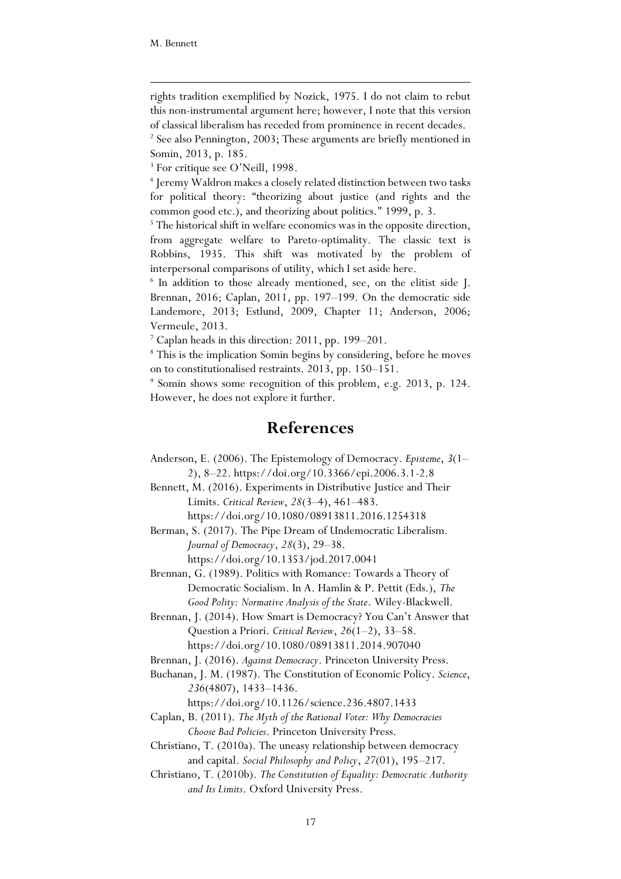rights tradition exemplified by Nozick, 1975. I do not claim to rebut this non-instrumental argument here; however, I note that this version of classical liberalism has receded from prominence in recent decades.

<sup>2</sup> See also Pennington, 2003; These arguments are briefly mentioned in Somin, 2013, p. 185.

<sup>3</sup> For critique see O'Neill, 1998.

4 Jeremy Waldron makes a closely related distinction between two tasks for political theory: "theorizing about justice (and rights and the common good etc.), and theorizing about politics." 1999, p. 3.

<sup>5</sup> The historical shift in welfare economics was in the opposite direction, from aggregate welfare to Pareto-optimality. The classic text is Robbins, 1935. This shift was motivated by the problem of interpersonal comparisons of utility, which I set aside here.

6 In addition to those already mentioned, see, on the elitist side J. Brennan, 2016; Caplan, 2011, pp. 197–199. On the democratic side Landemore, 2013; Estlund, 2009, Chapter 11; Anderson, 2006; Vermeule, 2013.

<sup>7</sup> Caplan heads in this direction: 2011, pp. 199–201.

<sup>8</sup> This is the implication Somin begins by considering, before he moves on to constitutionalised restraints. 2013, pp. 150–151.

9 Somin shows some recognition of this problem, e.g. 2013, p. 124. However, he does not explore it further.

#### **References**

- Anderson, E. (2006). The Epistemology of Democracy. *Episteme*, *3*(1– 2), 8–22. https://doi.org/10.3366/epi.2006.3.1-2.8
- Bennett, M. (2016). Experiments in Distributive Justice and Their Limits. *Critical Review*, *28*(3–4), 461–483. https://doi.org/10.1080/08913811.2016.1254318

Berman, S. (2017). The Pipe Dream of Undemocratic Liberalism. *Journal of Democracy*, *28*(3), 29–38.

https://doi.org/10.1353/jod.2017.0041

Brennan, G. (1989). Politics with Romance: Towards a Theory of Democratic Socialism. In A. Hamlin & P. Pettit (Eds.), *The Good Polity: Normative Analysis of the State*. Wiley-Blackwell.

- Brennan, J. (2014). How Smart is Democracy? You Can't Answer that Question a Priori. *Critical Review*, *26*(1–2), 33–58. https://doi.org/10.1080/08913811.2014.907040
- Brennan, J. (2016). *Against Democracy*. Princeton University Press.

Buchanan, J. M. (1987). The Constitution of Economic Policy. *Science*, *236*(4807), 1433–1436.

https://doi.org/10.1126/science.236.4807.1433

- Caplan, B. (2011). *The Myth of the Rational Voter: Why Democracies Choose Bad Policies*. Princeton University Press.
- Christiano, T. (2010a). The uneasy relationship between democracy and capital. *Social Philosophy and Policy*, *27*(01), 195–217.
- Christiano, T. (2010b). *The Constitution of Equality: Democratic Authority and Its Limits*. Oxford University Press.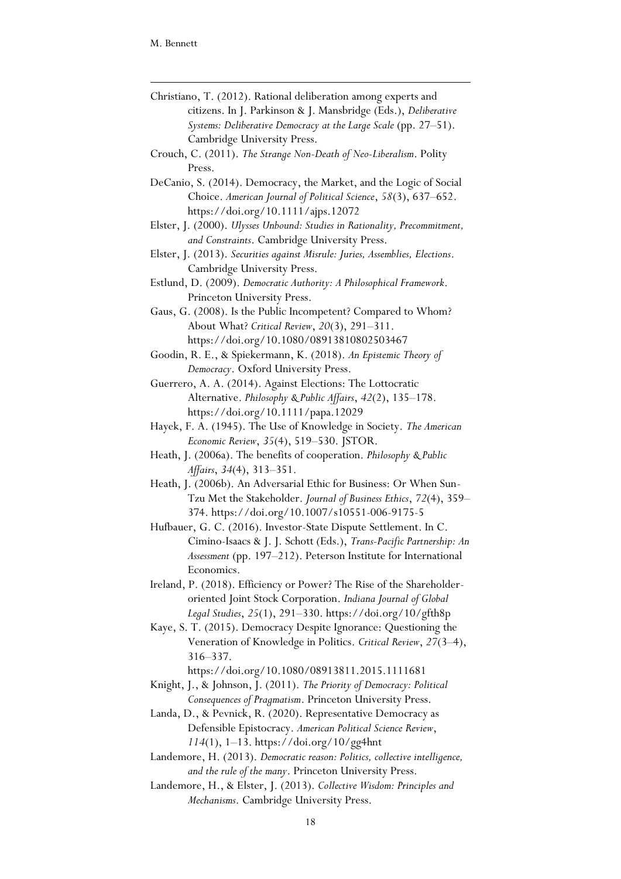- Christiano, T. (2012). Rational deliberation among experts and citizens. In J. Parkinson & J. Mansbridge (Eds.), *Deliberative Systems: Deliberative Democracy at the Large Scale* (pp. 27–51). Cambridge University Press.
- Crouch, C. (2011). *The Strange Non-Death of Neo-Liberalism*. Polity Press.
- DeCanio, S. (2014). Democracy, the Market, and the Logic of Social Choice. *American Journal of Political Science*, *58*(3), 637–652. https://doi.org/10.1111/ajps.12072
- Elster, J. (2000). *Ulysses Unbound: Studies in Rationality, Precommitment, and Constraints*. Cambridge University Press.
- Elster, J. (2013). *Securities against Misrule: Juries, Assemblies, Elections*. Cambridge University Press.

Estlund, D. (2009). *Democratic Authority: A Philosophical Framework*. Princeton University Press.

Gaus, G. (2008). Is the Public Incompetent? Compared to Whom? About What? *Critical Review*, *20*(3), 291–311. https://doi.org/10.1080/08913810802503467

Goodin, R. E., & Spiekermann, K. (2018). *An Epistemic Theory of Democracy*. Oxford University Press.

Guerrero, A. A. (2014). Against Elections: The Lottocratic Alternative. *Philosophy & Public Affairs*, *42*(2), 135–178. https://doi.org/10.1111/papa.12029

- Hayek, F. A. (1945). The Use of Knowledge in Society. *The American Economic Review*, *35*(4), 519–530. JSTOR.
- Heath, J. (2006a). The benefits of cooperation. *Philosophy & Public Affairs*, *34*(4), 313–351.
- Heath, J. (2006b). An Adversarial Ethic for Business: Or When Sun-Tzu Met the Stakeholder. *Journal of Business Ethics*, *72*(4), 359– 374. https://doi.org/10.1007/s10551-006-9175-5
- Hufbauer, G. C. (2016). Investor-State Dispute Settlement. In C. Cimino-Isaacs & J. J. Schott (Eds.), *Trans-Pacific Partnership: An Assessment* (pp. 197–212). Peterson Institute for International Economics.
- Ireland, P. (2018). Efficiency or Power? The Rise of the Shareholderoriented Joint Stock Corporation. *Indiana Journal of Global Legal Studies*, *25*(1), 291–330. https://doi.org/10/gfth8p
- Kaye, S. T. (2015). Democracy Despite Ignorance: Questioning the Veneration of Knowledge in Politics. *Critical Review*, *27*(3–4), 316–337.

https://doi.org/10.1080/08913811.2015.1111681

- Knight, J., & Johnson, J. (2011). *The Priority of Democracy: Political Consequences of Pragmatism*. Princeton University Press.
- Landa, D., & Pevnick, R. (2020). Representative Democracy as Defensible Epistocracy. *American Political Science Review*, *114*(1), 1–13. https://doi.org/10/gg4hnt
- Landemore, H. (2013). *Democratic reason: Politics, collective intelligence, and the rule of the many*. Princeton University Press.
- Landemore, H., & Elster, J. (2013). *Collective Wisdom: Principles and Mechanisms*. Cambridge University Press.